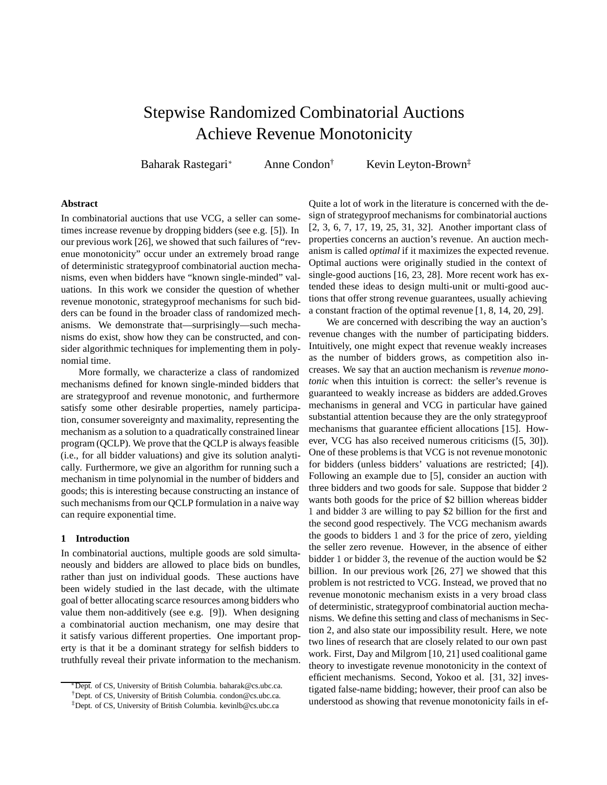# Stepwise Randomized Combinatorial Auctions Achieve Revenue Monotonicity

Baharak Rastegari<sup>∗</sup> Anne Condon† Kevin Leyton-Brown‡

### **Abstract**

In combinatorial auctions that use VCG, a seller can sometimes increase revenue by dropping bidders (see e.g. [5]). In our previous work [26], we showed that such failures of "revenue monotonicity" occur under an extremely broad range of deterministic strategyproof combinatorial auction mechanisms, even when bidders have "known single-minded" valuations. In this work we consider the question of whether revenue monotonic, strategyproof mechanisms for such bidders can be found in the broader class of randomized mechanisms. We demonstrate that—surprisingly—such mechanisms do exist, show how they can be constructed, and consider algorithmic techniques for implementing them in polynomial time.

More formally, we characterize a class of randomized mechanisms defined for known single-minded bidders that are strategyproof and revenue monotonic, and furthermore satisfy some other desirable properties, namely participation, consumer sovereignty and maximality, representing the mechanism as a solution to a quadratically constrained linear program (QCLP). We prove that the QCLP is always feasible (i.e., for all bidder valuations) and give its solution analytically. Furthermore, we give an algorithm for running such a mechanism in time polynomial in the number of bidders and goods; this is interesting because constructing an instance of such mechanisms from our QCLP formulation in a naive way can require exponential time.

#### **1 Introduction**

In combinatorial auctions, multiple goods are sold simultaneously and bidders are allowed to place bids on bundles, rather than just on individual goods. These auctions have been widely studied in the last decade, with the ultimate goal of better allocating scarce resources among bidders who value them non-additively (see e.g. [9]). When designing a combinatorial auction mechanism, one may desire that it satisfy various different properties. One important property is that it be a dominant strategy for selfish bidders to truthfully reveal their private information to the mechanism.

Quite a lot of work in the literature is concerned with the design of strategyproof mechanisms for combinatorial auctions [2, 3, 6, 7, 17, 19, 25, 31, 32]. Another important class of properties concerns an auction's revenue. An auction mechanism is called *optimal* if it maximizes the expected revenue. Optimal auctions were originally studied in the context of single-good auctions [16, 23, 28]. More recent work has extended these ideas to design multi-unit or multi-good auctions that offer strong revenue guarantees, usually achieving a constant fraction of the optimal revenue [1, 8, 14, 20, 29].

We are concerned with describing the way an auction's revenue changes with the number of participating bidders. Intuitively, one might expect that revenue weakly increases as the number of bidders grows, as competition also increases. We say that an auction mechanism is *revenue monotonic* when this intuition is correct: the seller's revenue is guaranteed to weakly increase as bidders are added.Groves mechanisms in general and VCG in particular have gained substantial attention because they are the only strategyproof mechanisms that guarantee efficient allocations [15]. However, VCG has also received numerous criticisms ([5, 30]). One of these problems is that VCG is not revenue monotonic for bidders (unless bidders' valuations are restricted; [4]). Following an example due to [5], consider an auction with three bidders and two goods for sale. Suppose that bidder 2 wants both goods for the price of \$2 billion whereas bidder 1 and bidder 3 are willing to pay \$2 billion for the first and the second good respectively. The VCG mechanism awards the goods to bidders 1 and 3 for the price of zero, yielding the seller zero revenue. However, in the absence of either bidder 1 or bidder 3, the revenue of the auction would be \$2 billion. In our previous work [26, 27] we showed that this problem is not restricted to VCG. Instead, we proved that no revenue monotonic mechanism exists in a very broad class of deterministic, strategyproof combinatorial auction mechanisms. We define this setting and class of mechanisms in Section 2, and also state our impossibility result. Here, we note two lines of research that are closely related to our own past work. First, Day and Milgrom [10, 21] used coalitional game theory to investigate revenue monotonicity in the context of efficient mechanisms. Second, Yokoo et al. [31, 32] investigated false-name bidding; however, their proof can also be understood as showing that revenue monotonicity fails in ef-

<sup>∗</sup>Dept. of CS, University of British Columbia. baharak@cs.ubc.ca.

<sup>†</sup>Dept. of CS, University of British Columbia. condon@cs.ubc.ca.

<sup>‡</sup>Dept. of CS, University of British Columbia. kevinlb@cs.ubc.ca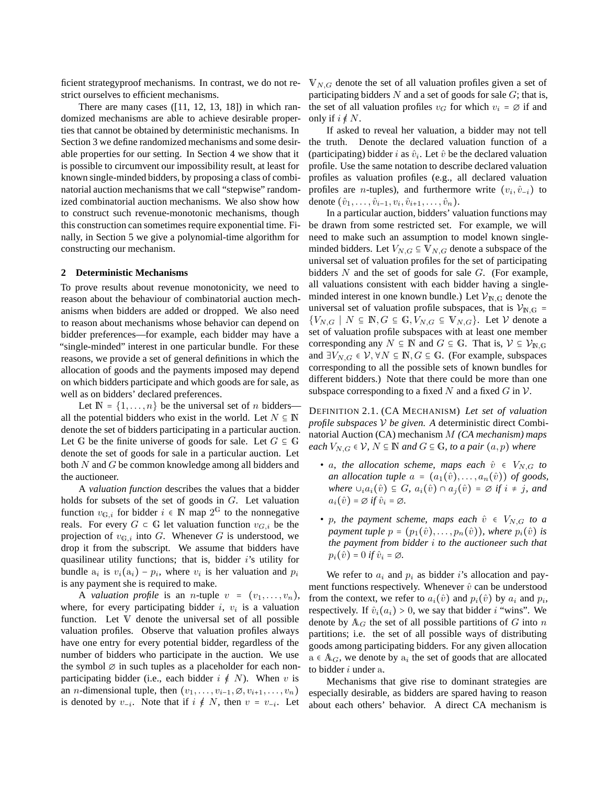ficient strategyproof mechanisms. In contrast, we do not restrict ourselves to efficient mechanisms.

There are many cases  $([11, 12, 13, 18])$  in which randomized mechanisms are able to achieve desirable properties that cannot be obtained by deterministic mechanisms. In Section 3 we define randomized mechanisms and some desirable properties for our setting. In Section 4 we show that it is possible to circumvent our impossibility result, at least for known single-minded bidders, by proposing a class of combinatorial auction mechanisms that we call "stepwise" randomized combinatorial auction mechanisms. We also show how to construct such revenue-monotonic mechanisms, though this construction can sometimes require exponential time. Finally, in Section 5 we give a polynomial-time algorithm for constructing our mechanism.

### **2 Deterministic Mechanisms**

To prove results about revenue monotonicity, we need to reason about the behaviour of combinatorial auction mechanisms when bidders are added or dropped. We also need to reason about mechanisms whose behavior can depend on bidder preferences—for example, each bidder may have a "single-minded" interest in one particular bundle. For these reasons, we provide a set of general definitions in which the allocation of goods and the payments imposed may depend on which bidders participate and which goods are for sale, as well as on bidders' declared preferences.

Let  $\mathbb{N} = \{1, \ldots, n\}$  be the universal set of *n* bidders– all the potential bidders who exist in the world. Let  $N \subseteq \mathbb{N}$ denote the set of bidders participating in a particular auction. Let G be the finite universe of goods for sale. Let  $G \subseteq \mathbb{G}$ denote the set of goods for sale in a particular auction. Let both N and G be common knowledge among all bidders and the auctioneer.

A *valuation function* describes the values that a bidder holds for subsets of the set of goods in G. Let valuation function  $v_{\mathrm{G},i}$  for bidder  $i \in \mathbb{N}$  map  $2^{\mathbb{G}}$  to the nonnegative reals. For every  $G \subset \mathbb{G}$  let valuation function  $v_{G,i}$  be the projection of  $v_{\mathbb{G},i}$  into G. Whenever G is understood, we drop it from the subscript. We assume that bidders have quasilinear utility functions; that is, bidder  $i$ 's utility for bundle  $a_i$  is  $v_i(a_i) - p_i$ , where  $v_i$  is her valuation and  $p_i$ is any payment she is required to make.

A *valuation profile* is an *n*-tuple  $v = (v_1, \ldots, v_n)$ , where, for every participating bidder  $i$ ,  $v_i$  is a valuation function. Let V denote the universal set of all possible valuation profiles. Observe that valuation profiles always have one entry for every potential bidder, regardless of the number of bidders who participate in the auction. We use the symbol  $\varnothing$  in such tuples as a placeholder for each nonparticipating bidder (i.e., each bidder  $i \notin N$ ). When v is an *n*-dimensional tuple, then  $(v_1, \ldots, v_{i-1}, \emptyset, v_{i+1}, \ldots, v_n)$ is denoted by  $v_{-i}$ . Note that if  $i \notin N$ , then  $v = v_{-i}$ . Let

 $V_{N,G}$  denote the set of all valuation profiles given a set of participating bidders  $N$  and a set of goods for sale  $G$ ; that is, the set of all valuation profiles  $v_G$  for which  $v_i = \emptyset$  if and only if  $i \notin N$ .

If asked to reveal her valuation, a bidder may not tell the truth. Denote the declared valuation function of a (participating) bidder i as  $\hat{v}_i$ . Let  $\hat{v}$  be the declared valuation profile. Use the same notation to describe declared valuation profiles as valuation profiles (e.g., all declared valuation profiles are *n*-tuples), and furthermore write  $(v_i, \hat{v}_{-i})$  to denote  $(\hat{v}_1, \dots, \hat{v}_{i-1}, v_i, \hat{v}_{i+1}, \dots, \hat{v}_n)$ .

In a particular auction, bidders' valuation functions may be drawn from some restricted set. For example, we will need to make such an assumption to model known singleminded bidders. Let  $V_{N,G} \subseteq V_{N,G}$  denote a subspace of the universal set of valuation profiles for the set of participating bidders  $N$  and the set of goods for sale  $G$ . (For example, all valuations consistent with each bidder having a singleminded interest in one known bundle.) Let  $\mathcal{V}_{N,G}$  denote the universal set of valuation profile subspaces, that is  $\mathcal{V}_{N,G}$  =  ${V_{N,G} \mid N \subseteq \mathbb{N}, G \subseteq \mathbb{G}, V_{N,G} \subseteq \mathbb{V}_{N,G}}$ . Let V denote a set of valuation profile subspaces with at least one member corresponding any  $N \subseteq \mathbb{N}$  and  $G \subseteq \mathbb{G}$ . That is,  $\mathcal{V} \subseteq \mathcal{V}_{\mathbb{N},\mathbb{G}}$ and  $\exists V_{N,G} \in V, \forall N \subseteq \mathbb{N}, G \subseteq \mathbb{G}$ . (For example, subspaces corresponding to all the possible sets of known bundles for different bidders.) Note that there could be more than one subspace corresponding to a fixed N and a fixed  $G$  in  $\mathcal V$ .

DEFINITION 2.1. (CA MECHANISM) *Let set of valuation profile subspaces* V *be given. A* deterministic direct Combinatorial Auction (CA) mechanism M *(CA mechanism) maps each*  $V_{N,G} \in V$ ,  $N \subseteq \mathbb{N}$  *and*  $G \subseteq \mathbb{G}$ *, to a pair*  $(a, p)$  *where* 

- *a, the allocation scheme, maps each*  $\hat{v} \in V_{N,G}$  *to an allocation tuple*  $a = (a_1(\hat{v}), \ldots, a_n(\hat{v}))$  *of goods, where*  $\cup_i a_i(\hat{v}) \subseteq G$ *,*  $a_i(\hat{v}) \cap a_j(\hat{v}) = \emptyset$  *if*  $i \neq j$ *, and*  $a_i(\hat{v}) = \varnothing$  *if*  $\hat{v}_i = \varnothing$ *.*
- *p, the payment scheme, maps each*  $\hat{v} \in V_{N,G}$  *to a payment tuple*  $p = (p_1(\hat{v}), \ldots, p_n(\hat{v}))$ *, where*  $p_i(\hat{v})$  *is the payment from bidder* i *to the auctioneer such that*  $p_i(\hat{v}) = 0$  *if*  $\hat{v}_i = \emptyset$ *.*

We refer to  $a_i$  and  $p_i$  as bidder i's allocation and payment functions respectively. Whenever  $\hat{v}$  can be understood from the context, we refer to  $a_i(\hat{v})$  and  $p_i(\hat{v})$  by  $a_i$  and  $p_i$ , respectively. If  $\hat{v}_i(a_i) > 0$ , we say that bidder *i* "wins". We denote by  $A_G$  the set of all possible partitions of G into n partitions; i.e. the set of all possible ways of distributing goods among participating bidders. For any given allocation  $a \in A_G$ , we denote by  $a_i$  the set of goods that are allocated to bidder  $i$  under  $a$ .

Mechanisms that give rise to dominant strategies are especially desirable, as bidders are spared having to reason about each others' behavior. A direct CA mechanism is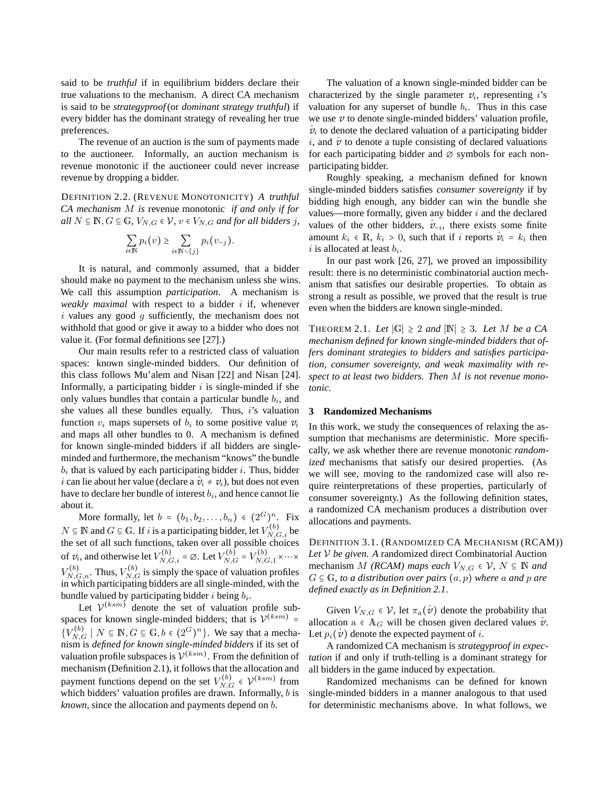said to be *truthful* if in equilibrium bidders declare their true valuations to the mechanism. A direct CA mechanism is said to be *strategyproof*(or *dominant strategy truthful*) if every bidder has the dominant strategy of revealing her true preferences.

The revenue of an auction is the sum of payments made to the auctioneer. Informally, an auction mechanism is revenue monotonic if the auctioneer could never increase revenue by dropping a bidder.

DEFINITION 2.2. (REVENUE MONOTONICITY) *A truthful CA mechanism* M *is* revenue monotonic *if and only if for all*  $N \subseteq \mathbb{N}, G \subseteq \mathbb{G}, V_{N,G} \in \mathcal{V}, v \in V_{N,G}$  *and for all bidders j,* 

$$
\sum_{i\in\mathbb{N}}p_i(v)\geq \sum_{i\in\mathbb{N}\setminus\{j\}}p_i(v_{-j}).
$$

It is natural, and commonly assumed, that a bidder should make no payment to the mechanism unless she wins. We call this assumption *participation*. A mechanism is *weakly maximal* with respect to a bidder i if, whenever  $i$  values any good  $g$  sufficiently, the mechanism does not withhold that good or give it away to a bidder who does not value it. (For formal definitions see [27].)

Our main results refer to a restricted class of valuation spaces: known single-minded bidders. Our definition of this class follows Mu'alem and Nisan [22] and Nisan [24]. Informally, a participating bidder  $i$  is single-minded if she only values bundles that contain a particular bundle  $b_i$ , and she values all these bundles equally. Thus, i's valuation function  $v_i$  maps supersets of  $\overrightarrow{b_i}$  to some positive value  $v_i$ and maps all other bundles to 0. A mechanism is defined for known single-minded bidders if all bidders are singleminded and furthermore, the mechanism "knows" the bundle  $b_i$  that is valued by each participating bidder *i*. Thus, bidder *i* can lie about her value (declare a  $\hat{v}_i \neq v_i$ ), but does not even have to declare her bundle of interest  $b_i$ , and hence cannot lie about it.

More formally, let  $b = (b_1, b_2, \dots, b_n) \in (2^G)^n$ . Fix  $N \subseteq \mathbb{N}$  and  $G \subseteq \mathbb{G}$ . If i is a participating bidder, let  $V_{N,G,i}^{(b)}$  be the set of all such functions, taken over all possible choices of  $v_i$ , and otherwise let  $V_{N,G,i}^{(b)} = \emptyset$ . Let  $V_{N,G}^{(b)} = V_{N,G,1}^{(b)} \times \cdots \times$  $V_{N,G,n}^{(b)}$ . Thus,  $V_{N,G}^{(b)}$  is simply the space of valuation profiles in which participating bidders are all single-minded, with the bundle valued by participating bidder *i* being  $b_i$ .

Let  $V^{(ksm)}$  denote the set of valuation profile subspaces for known single-minded bidders; that is  $V^{(ksm)}$  =  ${V_{N,G}^{(b)} \mid N \subseteq \mathbb{N}, G \subseteq \mathbb{G}, b \in (2^G)^n}$ . We say that a mechanism is *defined for known single-minded bidders* if its set of valuation profile subspaces is  $\mathcal{V}^{(ksm)}$ . From the definition of mechanism (Definition 2.1), it follows that the allocation and payment functions depend on the set  $V_{N,G}^{(b)} \in \mathcal{V}^{(ksm)}$  from which bidders' valuation profiles are drawn. Informally, *b* is *known*, since the allocation and payments depend on b.

The valuation of a known single-minded bidder can be characterized by the single parameter  $v_i$ , representing *i*'s valuation for any superset of bundle  $b_i$ . Thus in this case we use *v* to denote single-minded bidders' valuation profile,  $\hat{v}_i$  to denote the declared valuation of a participating bidder i, and  $\hat{v}$  to denote a tuple consisting of declared valuations for each participating bidder and  $\varnothing$  symbols for each nonparticipating bidder.

Roughly speaking, a mechanism defined for known single-minded bidders satisfies *consumer sovereignty* if by bidding high enough, any bidder can win the bundle she values—more formally, given any bidder  $i$  and the declared values of the other bidders,  $\hat{v}_{-i}$ , there exists some finite amount  $k_i \in \mathbb{R}$ ,  $k_i > 0$ , such that if i reports  $\hat{v}_i = k_i$  then  $i$  is allocated at least  $b_i$ .

In our past work [26, 27], we proved an impossibility result: there is no deterministic combinatorial auction mechanism that satisfies our desirable properties. To obtain as strong a result as possible, we proved that the result is true even when the bidders are known single-minded.

THEOREM 2.1. Let  $|\mathbb{G}| \geq 2$  and  $|\mathbb{N}| \geq 3$ . Let M be a CA *mechanism defined for known single-minded bidders that offers dominant strategies to bidders and satisfies participation, consumer sovereignty, and weak maximality with respect to at least two bidders. Then* M *is not revenue monotonic.*

#### **3 Randomized Mechanisms**

In this work, we study the consequences of relaxing the assumption that mechanisms are deterministic. More specifically, we ask whether there are revenue monotonic *randomized* mechanisms that satisfy our desired properties. (As we will see, moving to the randomized case will also require reinterpretations of these properties, particularly of consumer sovereignty.) As the following definition states, a randomized CA mechanism produces a distribution over allocations and payments.

DEFINITION 3.1. (RANDOMIZED CA MECHANISM (RCAM)) *Let* V *be given. A* randomized direct Combinatorial Auction mechanism M *(RCAM)* maps each  $V_{N,G} \in V$ ,  $N \subseteq \mathbb{N}$  and  $G \subseteq \mathbb{G}$ *, to a distribution over pairs*  $(a, p)$  *where a and p are defined exactly as in Definition 2.1.*

Given  $V_{N,G} \in \mathcal{V}$ , let  $\pi_{\mathbf{a}}(\hat{\mathbf{v}})$  denote the probability that allocation  $a \in A_G$  will be chosen given declared values  $\hat{v}$ . Let  $p_i(\hat{\mathbf{v}})$  denote the expected payment of *i*.

A randomized CA mechanism is *strategyproof in expectation* if and only if truth-telling is a dominant strategy for all bidders in the game induced by expectation.

Randomized mechanisms can be defined for known single-minded bidders in a manner analogous to that used for deterministic mechanisms above. In what follows, we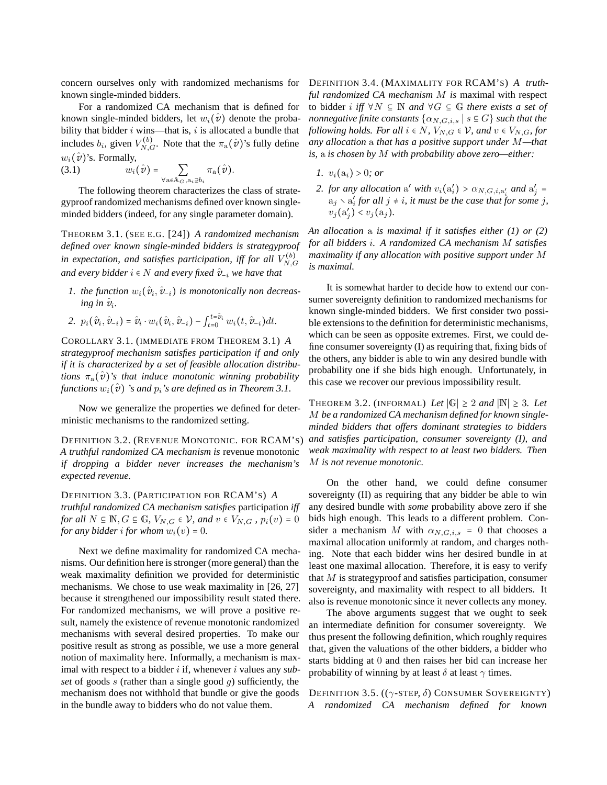concern ourselves only with randomized mechanisms for known single-minded bidders.

For a randomized CA mechanism that is defined for known single-minded bidders, let  $w_i(\hat{v})$  denote the probability that bidder  $i$  wins—that is,  $i$  is allocated a bundle that includes  $b_i$ , given  $V_{N,G}^{(b)}$ . Note that the  $\pi_a(\hat{v})$ 's fully define  $w_i(\hat{\mathbf{v}})$ 's. Formally,

(3.1) 
$$
w_i(\hat{\mathbf{v}}) = \sum_{\forall \mathbf{a} \in \mathbb{A}_{G}, \mathbf{a}_i \supseteq b_i} \pi_{\mathbf{a}}(\hat{\mathbf{v}}).
$$

The following theorem characterizes the class of strategyproof randomized mechanisms defined over known singleminded bidders (indeed, for any single parameter domain).

THEOREM 3.1. (SEE E.G. [24]) *A randomized mechanism defined over known single-minded bidders is strategyproof* in expectation, and satisfies participation, iff for all  $V_{NC}^{(b)}$  $_{N,G}$ *and every bidder*  $i \in N$  *and every fixed*  $\hat{v}_{-i}$  *we have that* 

- *1. the function*  $w_i(\hat{v}_i, \hat{v}_{-i})$  *is monotonically non decreas-* $\omega$ *ing in*  $\hat{\nu}_i$ *.*
- 2.  $p_i(\hat{v}_i, \hat{v}_{-i}) = \hat{v}_i \cdot w_i(\hat{v}_i, \hat{v}_{-i}) \int_{t=0}^{t=\hat{v}_i} w_i(t, \hat{v}_{-i}) dt.$

COROLLARY 3.1. (IMMEDIATE FROM THEOREM 3.1) *A strategyproof mechanism satisfies participation if and only if it is characterized by a set of feasible allocation distributions*  $\pi_a(\hat{v})$ 's that induce monotonic winning probability *functions*  $w_i(\hat{v})$  *'s and*  $p_i$ *'s are defined as in Theorem 3.1.* 

Now we generalize the properties we defined for deterministic mechanisms to the randomized setting.

DEFINITION 3.2. (REVENUE MONOTONIC. FOR RCAM'S) *A truthful randomized CA mechanism is* revenue monotonic *if dropping a bidder never increases the mechanism's expected revenue.*

DEFINITION 3.3. (PARTICIPATION FOR RCAM'S) *A truthful randomized CA mechanism satisfies* participation *iff for all*  $N \subseteq \mathbb{N}, G \subseteq \mathbb{G}, V_{N,G} \in \mathcal{V}$ *, and*  $v \in V_{N,G}$ *,*  $p_i(v) = 0$ *for any bidder i for whom*  $w_i(v) = 0$ *.* 

Next we define maximality for randomized CA mechanisms. Our definition here is stronger (more general) than the weak maximality definition we provided for deterministic mechanisms. We chose to use weak maximality in [26, 27] because it strengthened our impossibility result stated there. For randomized mechanisms, we will prove a positive result, namely the existence of revenue monotonic randomized mechanisms with several desired properties. To make our positive result as strong as possible, we use a more general notion of maximality here. Informally, a mechanism is maximal with respect to a bidder *i* if, whenever *i* values any *subset* of goods s (rather than a single good g) sufficiently, the mechanism does not withhold that bundle or give the goods in the bundle away to bidders who do not value them.

DEFINITION 3.4. (MAXIMALITY FOR RCAM'S) *A truthful randomized CA mechanism* M *is* maximal with respect to bidder i *iff* ∀N ⊆ N *and* ∀G ⊆ G *there exists a set of nonnegative finite constants*  $\{\alpha_{N,G,i,s} \mid s \in G\}$  *such that the following holds. For all*  $i \in N$ *,*  $V_{N,G} \in V$ *, and*  $v \in V_{N,G}$ *, for any allocation* a *that has a positive support under* M*—that is,* a *is chosen by* M *with probability above zero—either:*

- *1.*  $v_i(a_i) > 0$ *; or*
- 2. *for any allocation* a' *with*  $v_i(a'_i) > \alpha_{N,G,i,a'_i}$  *and*  $a'_j =$  $a_j \setminus a'_i$  for all  $j \neq i$ , it must be the case that for some j,  $v_j(a'_j) < v_j(a_j)$ .

*An allocation* a *is maximal if it satisfies either (1) or (2) for all bidders* i*. A randomized CA mechanism* M *satisfies maximality if any allocation with positive support under* M *is maximal.*

It is somewhat harder to decide how to extend our consumer sovereignty definition to randomized mechanisms for known single-minded bidders. We first consider two possible extensions to the definition for deterministic mechanisms, which can be seen as opposite extremes. First, we could define consumer sovereignty (I) as requiring that, fixing bids of the others, any bidder is able to win any desired bundle with probability one if she bids high enough. Unfortunately, in this case we recover our previous impossibility result.

THEOREM 3.2. (INFORMAL) *Let*  $|G| \ge 2$  *and*  $|N| \ge 3$ *. Let* M *be a randomized CA mechanism defined for known singleminded bidders that offers dominant strategies to bidders and satisfies participation, consumer sovereignty (I), and weak maximality with respect to at least two bidders. Then* M *is not revenue monotonic.*

On the other hand, we could define consumer sovereignty (II) as requiring that any bidder be able to win any desired bundle with *some* probability above zero if she bids high enough. This leads to a different problem. Consider a mechanism M with  $\alpha_{N,G,i,s} = 0$  that chooses a maximal allocation uniformly at random, and charges nothing. Note that each bidder wins her desired bundle in at least one maximal allocation. Therefore, it is easy to verify that  $M$  is strategyproof and satisfies participation, consumer sovereignty, and maximality with respect to all bidders. It also is revenue monotonic since it never collects any money.

The above arguments suggest that we ought to seek an intermediate definition for consumer sovereignty. We thus present the following definition, which roughly requires that, given the valuations of the other bidders, a bidder who starts bidding at 0 and then raises her bid can increase her probability of winning by at least  $\delta$  at least  $\gamma$  times.

DEFINITION 3.5.  $((\gamma\text{-}STEP, \delta)$  CONSUMER SOVEREIGNTY) *A randomized CA mechanism defined for known*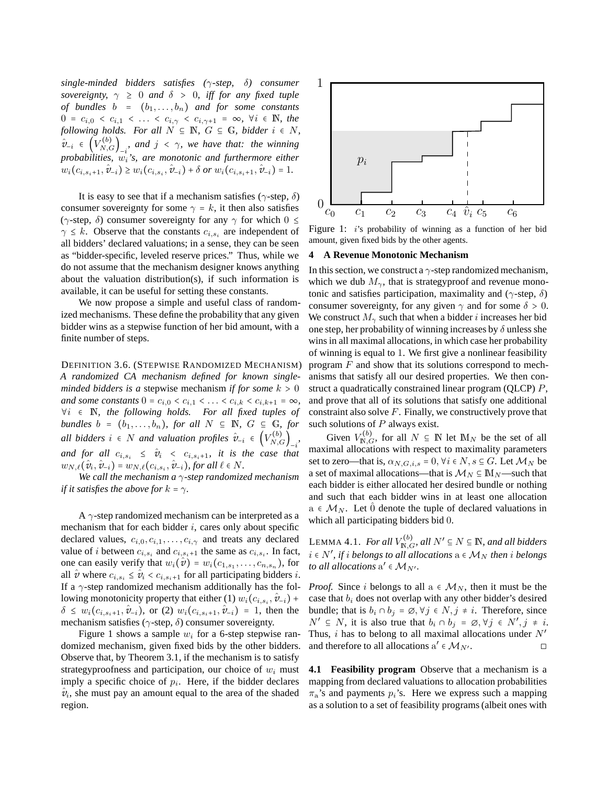*single-minded bidders satisfies (*γ*-step,* δ*) consumer sovereignty,*  $\gamma \geq 0$  *and*  $\delta > 0$ *, iff for any fixed tuple of bundles*  $b = (b_1, \ldots, b_n)$  *and for some constants*  $0 = c_{i,0} < c_{i,1} < \ldots < c_{i,\gamma} < c_{i,\gamma+1} = \infty$ ,  $\forall i \in \mathbb{N}$ , the *following holds. For all*  $N \subseteq \mathbb{N}$ ,  $G \subseteq \mathbb{G}$ , bidder  $i \in N$ ,  $\hat{v}_{-i} \in (V_{N,G}^{(b)})_{-i}$ , and  $j \leq \gamma$ , we have that: the winning *probabilities,* wi*'s, are monotonic and furthermore either*  $w_i(c_{i,s_i+1}, \hat{v}_{-i}) \geq w_i(c_{i,s_i}, \hat{v}_{-i}) + \delta \text{ or } w_i(c_{i,s_i+1}, \hat{v}_{-i}) = 1.$ 

It is easy to see that if a mechanism satisfies ( $\gamma$ -step,  $\delta$ ) consumer sovereignty for some  $\gamma = k$ , it then also satisfies ( $\gamma$ -step,  $\delta$ ) consumer sovereignty for any  $\gamma$  for which  $0 \leq$  $\gamma \leq k$ . Observe that the constants  $c_{i,s_i}$  are independent of all bidders' declared valuations; in a sense, they can be seen as "bidder-specific, leveled reserve prices." Thus, while we do not assume that the mechanism designer knows anything about the valuation distribution(s), if such information is available, it can be useful for setting these constants.

We now propose a simple and useful class of randomized mechanisms. These define the probability that any given bidder wins as a stepwise function of her bid amount, with a finite number of steps.

DEFINITION 3.6. (STEPWISE RANDOMIZED MECHANISM) *A randomized CA mechanism defined for known singleminded bidders is a* stepwise mechanism *if for some*  $k > 0$ *and some constants*  $0 = c_{i,0} < c_{i,1} < \ldots < c_{i,k} < c_{i,k+1} = \infty$ *,* ∀i ∈ N*, the following holds. For all fixed tuples of bundles*  $b = (b_1, \ldots, b_n)$ *, for all*  $N \subseteq \mathbb{N}$ *, G*  $\subseteq$  G*, for all bidders*  $i \in N$  *and valuation profiles*  $\hat{v}_{-i} \in (V_{N,G}^{(b)})_{-i}$ *and for all*  $c_{i,s_i} \leq \hat{v}_i < c_{i,s_i+1}$ , it is the case that  $w_{N,\ell}(\hat{v}_i, \hat{v}_{-i}) = w_{N,\ell}(c_{i,s_i}, \hat{v}_{-i}),$  for all  $\ell \in N$ .

*We call the mechanism a* γ*-step randomized mechanism if it satisfies the above for*  $k = \gamma$ *.* 

A  $\gamma$ -step randomized mechanism can be interpreted as a mechanism that for each bidder  $i$ , cares only about specific declared values,  $c_{i,0}, c_{i,1}, \ldots, c_{i,\gamma}$  and treats any declared value of *i* between  $c_{i,s_i}$  and  $c_{i,s_i+1}$  the same as  $c_{i,s_i}$ . In fact, one can easily verify that  $w_i(\hat{v}) = w_i(c_{1,s_1}, \ldots, c_{n,s_n})$ , for all  $\hat{v}$  where  $c_{i,s_i} \leq \hat{v}_i < c_{i,s_i+1}$  for all participating bidders i. If a  $\gamma$ -step randomized mechanism additionally has the following monotonicity property that either (1)  $w_i(c_{i,s_i}, \hat{v}_{-i})$  +  $\delta \leq w_i(c_{i,s_i+1}, \hat{v}_{-i})$ , or (2)  $w_i(c_{i,s_i+1}, \hat{v}_{-i}) = 1$ , then the mechanism satisfies ( $\gamma$ -step,  $\delta$ ) consumer sovereignty.

Figure 1 shows a sample  $w_i$  for a 6-step stepwise randomized mechanism, given fixed bids by the other bidders. Observe that, by Theorem 3.1, if the mechanism is to satisfy strategyproofness and participation, our choice of  $w_i$  must imply a specific choice of  $p_i$ . Here, if the bidder declares  $v_i$ , she must pay an amount equal to the area of the shaded region.



Figure 1: *i*'s probability of winning as a function of her bid amount, given fixed bids by the other agents.

#### **4 A Revenue Monotonic Mechanism**

In this section, we construct a  $\gamma$ -step randomized mechanism, which we dub  $M_{\gamma}$ , that is strategyproof and revenue monotonic and satisfies participation, maximality and ( $\gamma$ -step,  $\delta$ ) consumer sovereignty, for any given  $\gamma$  and for some  $\delta > 0$ . We construct  $M_{\gamma}$  such that when a bidder *i* increases her bid one step, her probability of winning increases by  $\delta$  unless she wins in all maximal allocations, in which case her probability of winning is equal to 1. We first give a nonlinear feasibility program  $F$  and show that its solutions correspond to mechanisms that satisfy all our desired properties. We then construct a quadratically constrained linear program (QLCP) P, and prove that all of its solutions that satisfy one additional constraint also solve  $F$ . Finally, we constructively prove that such solutions of  $P$  always exist.

Given  $V_{\mathbb{N},G}^{(b)}$ , for all  $N \subseteq \mathbb{N}$  let  $\mathbb{M}_N$  be the set of all maximal allocations with respect to maximality parameters set to zero—that is,  $\alpha_{N,G,i,s} = 0, \forall i \in N, s \subseteq G$ . Let  $\mathcal{M}_N$  be a set of maximal allocations—that is  $\mathcal{M}_N \subseteq M_N$ —such that each bidder is either allocated her desired bundle or nothing and such that each bidder wins in at least one allocation  $a \in M_N$ . Let  $\hat{0}$  denote the tuple of declared valuations in which all participating bidders bid 0.

LEMMA 4.1. *For all*  $V_{\mathbb{N},G}^{(b)}$ *, all*  $N' \subseteq N \subseteq \mathbb{N}$ *, and all bidders*  $i \in N'$ , if  $i$  belongs to all allocations  $\mathbf{a} \in \mathcal{M}_N$  then  $i$  belongs *to all allocations*  $a' \in M_{N'}$ .

*Proof.* Since i belongs to all  $a \in M_N$ , then it must be the case that  $b_i$  does not overlap with any other bidder's desired bundle; that is  $b_i \cap b_j = \emptyset$ ,  $\forall j \in N$ ,  $j \neq i$ . Therefore, since  $N' \subseteq N$ , it is also true that  $b_i \cap b_j = \emptyset, \forall j \in N', j \neq i$ . Thus,  $i$  has to belong to all maximal allocations under  $N'$ and therefore to all allocations  $a' \in M_{N'}$ .

**4.1 Feasibility program** Observe that a mechanism is a mapping from declared valuations to allocation probabilities  $\pi_a$ 's and payments  $p_i$ 's. Here we express such a mapping as a solution to a set of feasibility programs (albeit ones with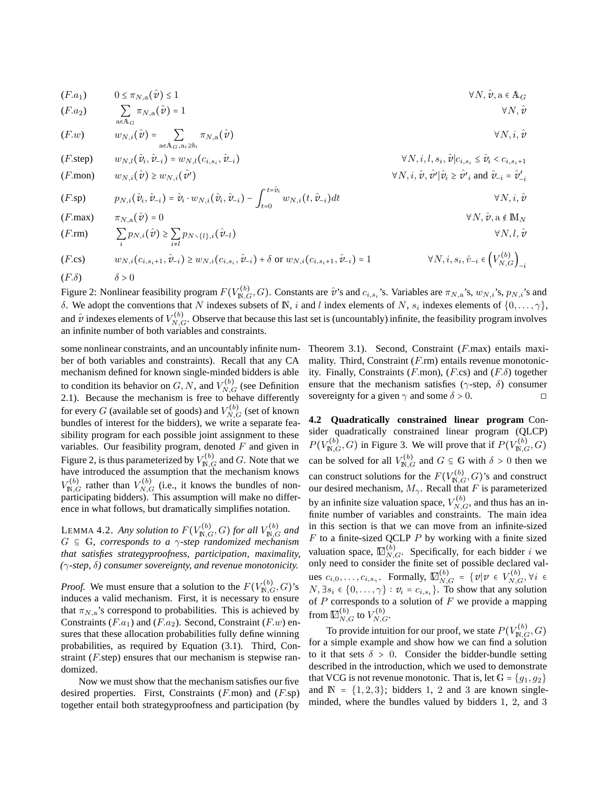(F.a1) <sup>0</sup> <sup>≤</sup> <sup>π</sup>N,a(*v*ˆ) ≤ <sup>1</sup> <sup>∀</sup>N, *v*ˆ, <sup>a</sup> <sup>∈</sup> <sup>A</sup><sup>G</sup> ∑ a∈A<sup>G</sup> (F.a <sup>π</sup>N,a(*v*ˆ) = <sup>1</sup> <sup>∀</sup>N, *v*<sup>ˆ</sup> <sup>2</sup>) <sup>w</sup>N,i(*v*ˆ) = <sup>∑</sup> a∈AG,ai⊇b<sup>i</sup> (F.w) <sup>π</sup>N,a(*v*ˆ) <sup>∀</sup>N, i, *v*<sup>ˆ</sup> <sup>w</sup>N,l(*v*ˆ<sup>i</sup> , *v*ˆ−i) = <sup>w</sup>N,l(ci,s<sup>i</sup> , *v*ˆ−i) <sup>∀</sup>N, i,l, s<sup>i</sup> , *v*ˆ∣ci,s<sup>i</sup> <sup>≤</sup> *v*<sup>ˆ</sup> (F.step) <sup>i</sup> <sup>&</sup>lt; <sup>c</sup>i,si+<sup>1</sup> <sup>w</sup>N,i(*v*ˆ) ≥ <sup>w</sup>N,i(*v*ˆ′) <sup>∀</sup>N, i, *v*ˆ, *v*ˆ′ <sup>∣</sup>*v*ˆ<sup>i</sup> <sup>≥</sup> *v*ˆ′ <sup>i</sup> and *v*ˆ−<sup>i</sup> <sup>=</sup> *v*<sup>ˆ</sup> ′ −i (F.mon) <sup>p</sup>N,i(*v*ˆ<sup>i</sup> , *v*ˆ−i) = *v*ˆ<sup>i</sup> <sup>⋅</sup> <sup>w</sup>N,i(*v*ˆ<sup>i</sup> , *v*ˆ−i) <sup>−</sup> <sup>∫</sup> <sup>t</sup>=*v*ˆ<sup>i</sup> t=0 <sup>w</sup>N,i(t, *v*<sup>ˆ</sup> (F.sp) <sup>−</sup>i)dt <sup>∀</sup>N, i, *v*<sup>ˆ</sup> (F.max) <sup>π</sup>N,a(*v*ˆ) = <sup>0</sup> <sup>∀</sup>N, *v*ˆ, <sup>a</sup> <sup>∉</sup> <sup>M</sup><sup>N</sup> ∑ i <sup>p</sup>N,i(*v*ˆ) ≥ <sup>∑</sup> i≠l <sup>p</sup>N∖{l},i(*v*<sup>ˆ</sup> (F.rm) <sup>−</sup>l) <sup>∀</sup>N,l, *v*<sup>ˆ</sup>

$$
(F.\text{cs}) \qquad w_{N,i}(c_{i,s_i+1}, \hat{v}_{-i}) \ge w_{N,i}(c_{i,s_i}, \hat{v}_{-i}) + \delta \text{ or } w_{N,i}(c_{i,s_i+1}, \hat{v}_{-i}) = 1 \qquad \forall N, i, s_i, \hat{v}_{-i} \in \left(V_{N,G}^{(b)}\right)_{-i}
$$
\n
$$
(F.\delta) \qquad \delta > 0
$$

Figure 2: Nonlinear feasibility program  $F(V_{\mathbb{N},G}^{(b)}, G)$ . Constants are  $\hat{\mathbf{v}}$ 's and  $c_{i,s_i}$ 's. Variables are  $\pi_{N,a}$ 's,  $w_{N,i}$ 's,  $p_{N,i}$ 's and δ. We adopt the conventions that N indexes subsets of N, i and l index elements of N,  $s_i$  indexes elements of  $\{0,\ldots,\gamma\}$ , and  $\hat{v}$  indexes elements of  $V_{N,G}^{(b)}$ . Observe that because this last set is (uncountably) infinite, the feasibility program involves an infinite number of both variables and constraints.

some nonlinear constraints, and an uncountably infinite number of both variables and constraints). Recall that any CA mechanism defined for known single-minded bidders is able to condition its behavior on  $G, N$ , and  $V_{N,G}^{(b)}$  (see Definition 2.1). Because the mechanism is free to behave differently for every  $G$  (available set of goods) and  $V_{N,G}^{(b)}$  (set of known bundles of interest for the bidders), we write a separate feasibility program for each possible joint assignment to these variables. Our feasibility program, denoted  $F$  and given in Figure 2, is thus parameterized by  $V_{\mathbb{N},G}^{(b)}$  and  $G$ . Note that we have introduced the assumption that the mechanism knows  $V_{\mathbb{N},G}^{(b)}$  rather than  $V_{N,G}^{(b)}$  (i.e., it knows the bundles of nonparticipating bidders). This assumption will make no difference in what follows, but dramatically simplifies notation.

LEMMA 4.2. *Any solution to*  $F(V_{\mathbb{N},G}^{(b)}, G)$  *for all*  $V_{\mathbb{N},G}^{(b)}$  *and*  $G \subseteq \mathbb{G}$ , corresponds to a  $\gamma$ -step randomized mechanism *that satisfies strategyproofness, participation, maximality, (*γ*-step,* δ*) consumer sovereignty, and revenue monotonicity.*

*Proof.* We must ensure that a solution to the  $F(V_{\mathbb{N},G}^{(b)}, G)$ 's induces a valid mechanism. First, it is necessary to ensure that  $\pi_{N,a}$ 's correspond to probabilities. This is achieved by Constraints  $(F.a_1)$  and  $(F.a_2)$ . Second, Constraint  $(F.w)$  ensures that these allocation probabilities fully define winning probabilities, as required by Equation (3.1). Third, Constraint (F.step) ensures that our mechanism is stepwise randomized.

Now we must show that the mechanism satisfies our five desired properties. First, Constraints  $(F_{\cdot,mon})$  and  $(F_{\cdot}sp)$ together entail both strategyproofness and participation (by Theorem 3.1). Second, Constraint (F.max) entails maximality. Third, Constraint (F.rm) entails revenue monotonicity. Finally, Constraints (F.mon), (F.cs) and  $(F.\delta)$  together ensure that the mechanism satisfies ( $\gamma$ -step,  $\delta$ ) consumer sovereignty for a given  $\gamma$  and some  $\delta > 0$ .

**4.2 Quadratically constrained linear program** Consider quadratically constrained linear program (QLCP)  $P(V_{\text{N},G}^{(b)}, G)$  in Figure 3. We will prove that if  $P(V_{\text{N},G}^{(b)}, G)$ can be solved for all  $V_{\mathbb{N},G}^{(b)}$  and  $G \subseteq \mathbb{G}$  with  $\delta > 0$  then we can construct solutions for the  $F(V_{\mathbb{N},G}^{(b)},G)$ 's and construct our desired mechanism,  $M_{\gamma}$ . Recall that F is parameterized by an infinite size valuation space,  $V_{N,G}^{(b)}$ , and thus has an infinite number of variables and constraints. The main idea in this section is that we can move from an infinite-sized  $F$  to a finite-sized QCLP  $P$  by working with a finite sized valuation space,  $\mathbb{Z}_{N,G}^{(b)}$ . Specifically, for each bidder i we only need to consider the finite set of possible declared values  $c_{i,0}, \ldots, c_{i,s_\gamma}$ . Formally,  $\mathbb{Z}_{N,G}^{(b)} = \{v | v \in V_{N,G}^{(b)}, \forall i \in$  $N, \exists s_i \in \{0, \ldots, \gamma\} : v_i = c_{i, s_i}\}\)$ . To show that any solution of  $P$  corresponds to a solution of  $F$  we provide a mapping from  $\mathbb{Z}_{N,G}^{(b)}$  to  $V_{N,G}^{(b)}.$ 

To provide intuition for our proof, we state  $P(V_{\mathbb{N},G}^{(b)},G)$ for a simple example and show how we can find a solution to it that sets  $\delta > 0$ . Consider the bidder-bundle setting described in the introduction, which we used to demonstrate that VCG is not revenue monotonic. That is, let  $G = \{q_1, q_2\}$ and  $\mathbb{N} = \{1, 2, 3\}$ ; bidders 1, 2 and 3 are known singleminded, where the bundles valued by bidders 1, 2, and 3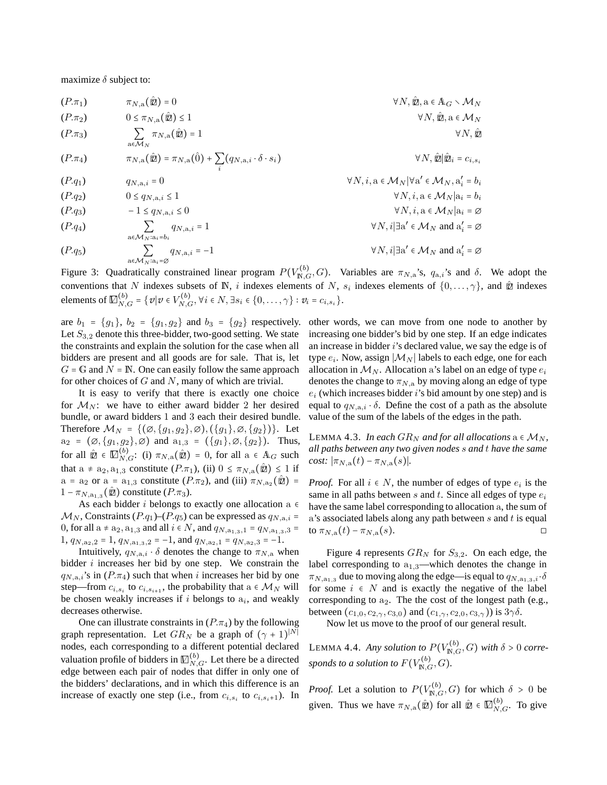maximize  $\delta$  subject to:

$$
(P.\pi_1) \qquad \pi_{N,a}(\hat{\mathbf{z}}) = 0 \qquad \forall N, \hat{\mathbf{z}}, a \in A_G \setminus M_N
$$
  
\n
$$
(P.\pi_2) \qquad 0 \le \pi_{N,a}(\hat{\mathbf{z}}) \le 1 \qquad \forall N, \hat{\mathbf{z}}, a \in M_N
$$
  
\n
$$
(P.\pi_3) \qquad \sum_{a \in M_N} \pi_{N,a}(\hat{\mathbf{z}}) = 1 \qquad \forall N, \hat{\mathbf{z}} \in M_N
$$
  
\n
$$
(P.\pi_4) \qquad \pi_{N,a}(\hat{\mathbf{z}}) = \pi_{N,a}(\hat{0}) + \sum_i (q_{N,a,i} \cdot \delta \cdot s_i) \qquad \forall N, \hat{\mathbf{z}} | \hat{\mathbf{z}} \in c_{i,s_i}
$$
  
\n
$$
(P.q_1) \qquad q_{N,a,i} = 0 \qquad \forall N, i, a \in M_N | \forall a' \in M_N, a'_i = b_i
$$
  
\n
$$
(P.q_2) \qquad 0 \le q_{N,a,i} \le 1 \qquad \forall N, i, a \in M_N | a_i = b_i
$$
  
\n
$$
(P.q_3) \qquad -1 \le q_{N,a,i} \le 0 \qquad \forall N, i | \exists a' \in M_N \text{ and } a'_i = \emptyset
$$
  
\n
$$
(P.q_4) \qquad \sum_{a \in M_N : a_i = b_i} q_{N,a,i} = -1 \qquad \forall N, i | \exists a' \in M_N \text{ and } a'_i = \emptyset
$$
  
\n
$$
(P.q_5) \qquad \sum_{a \in M_N : a_i = \emptyset} q_{N,a,i} = -1 \qquad \forall N, i | \exists a' \in M_N \text{ and } a'_i = \emptyset
$$

Figure 3: Quadratically constrained linear program  $P(V_{\text{N},G}^{(b)}, G)$ . Variables are  $\pi_{N,a}$ 's,  $q_{a,i}$ 's and  $\delta$ . We adopt the conventions that N indexes subsets of N, i indexes elements of N,  $s_i$  indexes elements of  $\{0,\ldots,\gamma\}$ , and  $\hat{\mathbb{Z}}$  indexes elements of  $\mathbb{Z}_{N,G}^{(b)} = \{ v | v \in V_{N,G}^{(b)}, \forall i \in N, \exists s_i \in \{0, ..., \gamma\} : v_i = c_{i,s_i} \}.$ 

are  $b_1 = \{g_1\}$ ,  $b_2 = \{g_1, g_2\}$  and  $b_3 = \{g_2\}$  respectively. Let  $S_{3,2}$  denote this three-bidder, two-good setting. We state the constraints and explain the solution for the case when all bidders are present and all goods are for sale. That is, let  $G = \mathbb{G}$  and  $N = \mathbb{N}$ . One can easily follow the same approach for other choices of  $G$  and  $N$ , many of which are trivial.

It is easy to verify that there is exactly one choice for  $M_N$ : we have to either award bidder 2 her desired bundle, or award bidders 1 and 3 each their desired bundle. Therefore  $\mathcal{M}_N = \{(\emptyset, \{g_1, g_2\}, \emptyset), (\{g_1\}, \emptyset, \{g_2\})\}.$  Let  $a_2 = (\emptyset, \{g_1, g_2\}, \emptyset)$  and  $a_{1,3} = (\{g_1\}, \emptyset, \{g_2\})$ . Thus, for all  $\hat{\mathbb{Z}} \in \mathbb{Z}_{N,G}^{(b)}$ : (i)  $\pi_{N,a}(\hat{\mathbb{Z}}) = 0$ , for all  $a \in A_G$  such that  $a \neq a_2, a_{1,3}$  constitute  $(P.\pi_1)$ , (ii)  $0 \leq \pi_{N,a}(\hat{\mathbb{Z}}) \leq 1$  if  $a = a_2$  or  $a = a_{1,3}$  constitute  $(P.\pi_2)$ , and (iii)  $\pi_{N,a_2}(\hat{\mathbf{z}})$  =  $1 - \pi_{N,a_{1,3}}(\hat{\mathbb{Z}})$  constitute  $(P.\pi_3)$ .

As each bidder i belongs to exactly one allocation a  $\epsilon$  $\mathcal{M}_N$ , Constraints (P.q<sub>1</sub>)–(P.q<sub>5</sub>) can be expressed as  $q_{N,a,i}$  = 0, for all a ≠  $a_2$ ,  $a_{1,3}$  and all  $i \in N$ , and  $q_{N,a_{1,3},1} = q_{N,a_{1,3},3}$  = 1,  $q_{N,a_2,2} = 1$ ,  $q_{N,a_1,3,2} = -1$ , and  $q_{N,a_2,1} = q_{N,a_2,3} = -1$ .

Intuitively,  $q_{N,a,i} \cdot \delta$  denotes the change to  $\pi_{N,a}$  when bidder  $i$  increases her bid by one step. We constrain the  $q_{N,a,i}$ 's in  $(P.\pi_4)$  such that when i increases her bid by one step—from  $c_{i,s_i}$  to  $c_{i,s_{i+1}}$ , the probability that  $a \in \mathcal{M}_N$  will be chosen weakly increases if  $i$  belongs to  $a_i$ , and weakly decreases otherwise.

One can illustrate constraints in  $(P.\pi_4)$  by the following graph representation. Let  $GR_N$  be a graph of  $(\gamma + 1)^{|N|}$ nodes, each corresponding to a different potential declared valuation profile of bidders in  $\mathbb{Z}_{N,G}^{(b)}$ . Let there be a directed edge between each pair of nodes that differ in only one of the bidders' declarations, and in which this difference is an increase of exactly one step (i.e., from  $c_{i,s_i}$  to  $c_{i,s_i+1}$ ). In

other words, we can move from one node to another by increasing one bidder's bid by one step. If an edge indicates an increase in bidder  $i$ 's declared value, we say the edge is of type  $e_i.$  Now, assign  $|\mathcal{M}_N|$  labels to each edge, one for each allocation in  $M_N$ . Allocation a's label on an edge of type  $e_i$ denotes the change to  $\pi_{N,a}$  by moving along an edge of type  $e_i$  (which increases bidder i's bid amount by one step) and is equal to  $q_{Na,i} \cdot \delta$ . Define the cost of a path as the absolute value of the sum of the labels of the edges in the path.

LEMMA 4.3. *In each*  $GR_N$  *and for all allocations*  $a \in M_N$ , *all paths between any two given nodes* s *and* t *have the same cost:*  $|\pi_{N,a}(t) - \pi_{N,a}(s)|$ *.* 

*Proof.* For all  $i \in N$ , the number of edges of type  $e_i$  is the same in all paths between  $s$  and  $t$ . Since all edges of type  $e_i$ have the same label corresponding to allocation a, the sum of  $a$ 's associated labels along any path between  $s$  and  $t$  is equal to  $\pi_{N,a}(t) - \pi_{N,a}(s)$ .  $\Box$ 

Figure 4 represents  $GR_N$  for  $S_{3,2}$ . On each edge, the label corresponding to  $a_{1,3}$ —which denotes the change in  $\pi_{N,a_{1,3}}$  due to moving along the edge—is equal to  $q_{N,a_{1,3},i} \cdot \delta$ for some  $i \in N$  and is exactly the negative of the label corresponding to  $a_2$ . The the cost of the longest path (e.g., between  $(c_{1,0}, c_{2,\gamma}, c_{3,0})$  and  $(c_{1,\gamma}, c_{2,0}, c_{3,\gamma})$  is  $3\gamma\delta$ .

Now let us move to the proof of our general result.

LEMMA 4.4. *Any solution to*  $P(V_{\mathbb{N},G}^{(b)}, G)$  *with*  $\delta > 0$  *corre*sponds to a solution to  $F(V^{(b)}_{\mathbb{N},G},G)$ .

*Proof.* Let a solution to  $P(V_{\mathbb{N},G}^{(b)}, G)$  for which  $\delta > 0$  be given. Thus we have  $\pi_{N,a}(\hat{\mathbf{z}})$  for all  $\hat{\mathbf{z}} \in \mathbb{Z}_{N,G}^{(b)}$ . To give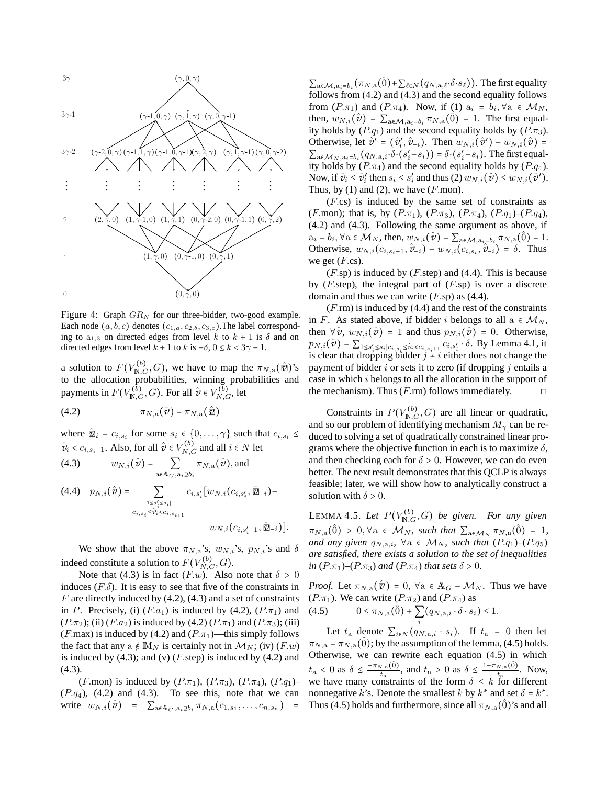

Figure 4: Graph  $GR_N$  for our three-bidder, two-good example. Each node  $(a, b, c)$  denotes  $(c_{1,a}, c_{2,b}, c_{3,c})$ . The label corresponding to a<sub>1,3</sub> on directed edges from level k to  $k + 1$  is  $\delta$  and on directed edges from level  $k + 1$  to  $k$  is  $-\delta$ ,  $0 \le k < 3\gamma - 1$ .

a solution to  $F(V_{\mathbb{N},G}^{(b)}, G)$ , we have to map the  $\pi_{N,a}(\hat{\mathbb{Z}})$ 's to the allocation probabilities, winning probabilities and payments in  $F(V_{\mathbb{N},G}^{(\bar{b})}, G)$ . For all  $\hat{v} \in V_{N,G}^{(\bar{b})}$ , let

$$
\pi_{N,a}(\hat{v}) = \pi_{N,a}(\hat{z})
$$

where  $\hat{\mathbb{Z}}_i = c_{i,s_i}$  for some  $s_i \in \{0, \ldots, \gamma\}$  such that  $c_{i,s_i} \leq$  $\hat{v}_i < c_{i,s_i+1}$ . Also, for all  $\hat{v} \in V_{N,G}^{(b)}$  and all  $i \in N$  let

(4.3) 
$$
w_{N,i}(\hat{\mathbf{v}}) = \sum_{\mathbf{a} \in \mathbb{A}_G, \mathbf{a}_i \geq b_i} \pi_{N,\mathbf{a}}(\hat{\mathbf{v}}), \text{and}
$$

$$
(4.4) \quad p_{N,i}(\hat{\mathbf{v}}) = \sum_{\substack{1 \le s'_i \le s_i | \\ c_{i,s_i} \le \hat{v}_i < c_{i,s_{i+1}}}} c_{i,s'_i} [w_{N,i}(c_{i,s'_i}, \hat{\mathbf{z}}_{-i}) - w_{N,i}(c_{i,s'_i-1}, \hat{\mathbf{z}}_{-i})].
$$

We show that the above  $\pi_{N,a}$ 's,  $w_{N,i}$ 's,  $p_{N,i}$ 's and  $\delta$ indeed constitute a solution to  $F(V_{N,G}^{(b)}, G)$ .

Note that (4.3) is in fact  $(F.w)$ . Also note that  $\delta > 0$ induces  $(F.\delta)$ . It is easy to see that five of the constraints in  $F$  are directly induced by (4.2), (4.3) and a set of constraints in P. Precisely, (i)  $(F.a_1)$  is induced by (4.2),  $(P.\pi_1)$  and  $(P.\pi_2)$ ; (ii)  $(F.a_2)$  is induced by (4.2)  $(P.\pi_1)$  and  $(P.\pi_3)$ ; (iii) (F.max) is induced by (4.2) and ( $P.\pi_1$ )—this simply follows the fact that any a  $\notin M_N$  is certainly not in  $\mathcal{M}_N$ ; (iv) (F.w) is induced by  $(4.3)$ ; and  $(v)$  (*F*.step) is induced by  $(4.2)$  and (4.3).

(F.mon) is induced by  $(P.\pi_1)$ ,  $(P.\pi_3)$ ,  $(P.\pi_4)$ ,  $(P.q_1)$ –  $(P.q<sub>4</sub>)$ ,  $(4.2)$  and  $(4.3)$ . To see this, note that we can write  $w_{N,i}(\hat{v}) = \sum_{a \in A_G, a_i \ge b_i} \pi_{N,a}(c_{1,s_1}, \ldots, c_{n,s_n})$ 

 $\sum_{a \in \mathcal{M}, a_i = b_i} (\pi_{N,a}(\hat{0}) + \sum_{\ell \in N} (q_{N,a,\ell} \cdot \delta \cdot s_{\ell}))$ . The first equality follows from (4.2) and (4.3) and the second equality follows from  $(P.\pi_1)$  and  $(P.\pi_4)$ . Now, if (1)  $a_i = b_i, \forall a \in M_N$ , then,  $w_{N,i}(\hat{v}) = \sum_{a \in \mathcal{M}, a_i = b_i} \pi_{N,a}(\hat{0}) = 1$ . The first equality holds by  $(P.q_1)$  and the second equality holds by  $(P.\pi_3)$ . Otherwise, let  $\hat{v}^{\prime} = (\hat{v}_i^{\prime}, \hat{v}_{-i})$ . Then  $w_{N,i}(\hat{v}^{\prime}) - w_{N,i}(\hat{v}) =$  $\sum_{a \in \mathcal{M}_N, a_i = b_i} (q_{N,a,i} \cdot \delta \cdot (s_i' - s_i)) = \delta \cdot (s_i' - s_i)$ . The first equality holds by  $(P.\pi_4)$  and the second equality holds by  $(P.q_4)$ . Now, if  $\hat{v}_i \leq \hat{v}'_i$  then  $s_i \leq s'_i$  and thus  $(2) w_{N,i}(\hat{v}') \leq w_{N,i}(\hat{v}')$ . Thus, by  $(1)$  and  $(2)$ , we have  $(F$  mon).

(F.cs) is induced by the same set of constraints as (F.mon); that is, by  $(P.\pi_1)$ ,  $(P.\pi_3)$ ,  $(P.\pi_4)$ ,  $(P.q_1)$ – $(P.q_4)$ , (4.2) and (4.3). Following the same argument as above, if  $a_i = b_i$ ,  $\forall a \in \mathcal{M}_N$ , then,  $w_{N,i}(\hat{v}) = \sum_{a \in \mathcal{M}, a_i = b_i} \pi_{N,a}(\hat{0}) = 1$ . Otherwise,  $w_{N,i}(c_{i,s_i+1}, \hat{v}_{-i}) - w_{N,i}(c_{i,s_i}, \hat{v}_{-i}) = \delta$ . Thus we get  $(F.cs)$ .

 $(F.\text{sp})$  is induced by  $(F.\text{step})$  and  $(4.4)$ . This is because by  $(F<sub>s</sub>tep)$ , the integral part of  $(F<sub>s</sub>sp)$  is over a discrete domain and thus we can write  $(F.\text{sp})$  as (4.4).

 $(F \cdot r)$  is induced by (4.4) and the rest of the constraints in F. As stated above, if bidder i belongs to all  $a \in M_N$ , then  $\forall \hat{v}$ ,  $w_{N,i}(\hat{v}) = 1$  and thus  $p_{N,i}(\hat{v}) = 0$ . Otherwise,  $p_{N,i}(\hat{v}) = \sum_{1 \leq s'_i \leq s_i | c_{i,s_i} \leq \hat{v}_i < c_{i,s_i+1}} \overline{c_{i,s'_i} \cdot \delta}$ . By Lemma 4.1, it is clear that dropping bidder  $j \neq i$  either does not change the payment of bidder  $i$  or sets it to zero (if dropping  $j$  entails a case in which i belongs to all the allocation in the support of the mechanism). Thus  $(F\text{.rm})$  follows immediately.  $\square$ 

Constraints in  $P(V_{\mathbb{N},G}^{(b)}, G)$  are all linear or quadratic, and so our problem of identifying mechanism  $M_{\gamma}$  can be reduced to solving a set of quadratically constrained linear programs where the objective function in each is to maximize  $\delta$ , and then checking each for  $\delta > 0$ . However, we can do even better. The next result demonstrates that this QCLP is always feasible; later, we will show how to analytically construct a solution with  $\delta > 0$ .

LEMMA 4.5. Let  $P(V_{\mathbb{N},G}^{(b)}, G)$  be given. For any given  $\pi_{N,a}(\hat{0}) > 0, \forall a \in \mathcal{M}_N$ , such that  $\sum_{a \in \mathcal{M}_N} \pi_{N,a}(\hat{0}) = 1$ , *and any given*  $q_{N,a,i}$ ,  $\forall a \in M_N$ , *such that*  $(P.q_1)$ – $(P.q_5)$ *are satisfied, there exists a solution to the set of inequalities in*  $(P.\pi_1)$ *–* $(P.\pi_3)$  *and*  $(P.\pi_4)$  *that sets*  $\delta > 0$ *.* 

*Proof.* Let  $\pi_{N,a}(\hat{\mathbb{Z}}) = 0$ ,  $\forall a \in \mathbb{A}_G - \mathcal{M}_N$ . Thus we have (P. $\pi_1$ ). We can write (P. $\pi_2$ ) and (P. $\pi_4$ ) as<br>
(4.5)  $0 \le \pi_{N,\alpha}(\hat{0}) + \sum_{\{a_{N,\alpha}\}} (\hat{a}_{N,\alpha}, \hat{b}_{N,\alpha})$  $0 < \pi$  ( $\hat{0}$ ) +  $\sum$ (

4.5) 
$$
0 \le \pi_{N,a}(0) + \sum_{i} (q_{N,a,i} \cdot \delta \cdot s_i) \le 1.
$$

Let  $t_a$  denote  $\sum_{i \in N} (q_{N,a,i} \cdot s_i)$ . If  $t_a = 0$  then let  $\pi_{N,a} = \pi_{N,a}(\hat{0})$ ; by the assumption of the lemma, (4.5) holds. Otherwise, we can rewrite each equation (4.5) in which  $t_{\rm a} < 0$  as  $\delta \leq \frac{-\pi_{N,\rm a}(\hat{0})}{t_{\rm a}}$  $t_{\text{a}}^{(0)}$ , and  $t_{\text{a}} > 0$  as  $\delta \leq \frac{1 - \pi_{N,\text{a}}(\hat{0})}{t_{\text{a}}}$  $\frac{N, \text{a}(0)}{t_{\text{a}}}$ . Now, we have many constraints of the form  $\delta \leq k$  for different nonnegative k's. Denote the smallest k by  $k^*$  and set  $\delta = k^*$ . Thus (4.5) holds and furthermore, since all  $\pi_{N,a}(\hat{0})$ 's and all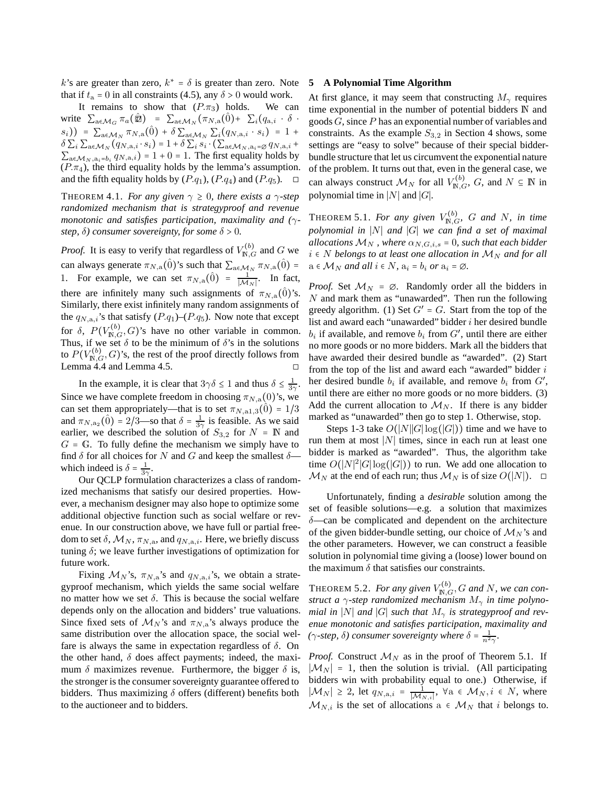k's are greater than zero,  $k^* = \delta$  is greater than zero. Note that if  $t_a = 0$  in all constraints (4.5), any  $\delta > 0$  would work.

It remains to show that  $(P.\pi_3)$  holds. We can write  $\sum_{a \in \mathcal{M}_G} \pi_a(\hat{\mathbb{Z}}) = \sum_{a \in \mathcal{M}_N} (\pi_{N,a}(\hat{0}) + \sum_i (q_{a,i} \cdot \delta$  $(s_i)$ ) =  $\sum_{a \in M_N} \pi_{N,a}(\hat{0}) + \delta \sum_{a \in M_N} \sum_i (q_{N,a,i} \cdot s_i) = 1 + \delta$  $\delta \sum_i \sum_{\mathbf{a} \in \mathcal{M}_N} (q_{N,\mathbf{a},i} \cdot s_i) = 1 + \delta \sum_i s_i \cdot (\sum_{\mathbf{a} \in \mathcal{M}_N, \mathbf{a}_i = \varnothing} q_{N,\mathbf{a},i} +$  $\sum_{a \in \mathcal{M}_N, a_i = b_i} q_{N,a,i}$ ) = 1 + 0 = 1. The first equality holds by  $(P.\pi_4)$ , the third equality holds by the lemma's assumption. and the fifth equality holds by  $(P.q_1)$ ,  $(P.q_4)$  and  $(P.q_5)$ .

THEOREM 4.1. *For any given*  $\gamma \geq 0$ *, there exists a*  $\gamma$ -step *randomized mechanism that is strategyproof and revenue monotonic and satisfies participation, maximality and (*γ*step,*  $\delta$ *) consumer sovereignty, for some*  $\delta$  > 0*.* 

*Proof.* It is easy to verify that regardless of  $V_{\mathbb{N},G}^{(b)}$  and G we can always generate  $\pi_{N,a}(\hat{0})$ 's such that  $\sum_{a \in \mathcal{M}_N} \pi_{N,a}(\hat{0}) =$ 1. For example, we can set  $\pi_{N,a}(\hat{0}) = \frac{1}{|M|}$  $\frac{1}{|M_N|}$ . In fact, there are infinitely many such assignments of  $\pi_{N,a}(\hat{0})$ 's. Similarly, there exist infinitely many random assignments of the  $q_{N,a,i}$ 's that satisfy  $(P.q_1)$ – $(P.q_5)$ . Now note that except for  $\delta$ ,  $P(V_{\mathbb{N},G}^{(b)}, G)$ 's have no other variable in common. Thus, if we set  $\delta$  to be the minimum of  $\delta$ 's in the solutions to  $P(V_{\mathbb{N},G}^{(b)},G)$ 's, the rest of the proof directly follows from Lemma  $4.4$  and Lemma  $4.5$ .  $\square$ 

In the example, it is clear that  $3\gamma\delta \leq 1$  and thus  $\delta \leq \frac{1}{3\gamma}$ . Since we have complete freedom in choosing  $\pi_{N,a}(0)$ 's, we can set them appropriately—that is to set  $\pi_{N, a1, 3}(\hat{0}) = 1/3$ and  $\pi_{N, a_2}(\hat{0}) = 2/3$ —so that  $\delta = \frac{1}{3\gamma}$  is feasible. As we said earlier, we described the solution of  $S_{3,2}$  for  $N = \mathbb{N}$  and  $G = \mathbb{G}$ . To fully define the mechanism we simply have to find  $\delta$  for all choices for N and G and keep the smallest  $\delta$  which indeed is  $\delta = \frac{1}{3\gamma}$ .

Our QCLP formulation characterizes a class of randomized mechanisms that satisfy our desired properties. However, a mechanism designer may also hope to optimize some additional objective function such as social welfare or revenue. In our construction above, we have full or partial freedom to set  $\delta$ ,  $\mathcal{M}_N$ ,  $\pi_{N,a}$ , and  $q_{N,a,i}$ . Here, we briefly discuss tuning  $\delta$ ; we leave further investigations of optimization for future work.

Fixing  $\mathcal{M}_N$ 's,  $\pi_{N,a}$ 's and  $q_{N,a,i}$ 's, we obtain a strategyproof mechanism, which yields the same social welfare no matter how we set δ. This is because the social welfare depends only on the allocation and bidders' true valuations. Since fixed sets of  $\mathcal{M}_N$ 's and  $\pi_{N,a}$ 's always produce the same distribution over the allocation space, the social welfare is always the same in expectation regardless of  $\delta$ . On the other hand,  $\delta$  does affect payments; indeed, the maximum  $\delta$  maximizes revenue. Furthermore, the bigger  $\delta$  is, the stronger is the consumer sovereignty guarantee offered to bidders. Thus maximizing  $\delta$  offers (different) benefits both to the auctioneer and to bidders.

#### **5 A Polynomial Time Algorithm**

At first glance, it may seem that constructing  $M_{\gamma}$  requires time exponential in the number of potential bidders N and goods  $G$ , since  $P$  has an exponential number of variables and constraints. As the example  $S_{3,2}$  in Section 4 shows, some settings are "easy to solve" because of their special bidderbundle structure that let us circumvent the exponential nature of the problem. It turns out that, even in the general case, we can always construct  $\mathcal{M}_N$  for all  $V_{\mathbb{N},G}^{(b)}$ ,  $G$ , and  $N \subseteq \mathbb{N}$  in polynomial time in |N| and  $|G|$ .

**THEOREM 5.1.** For any given  $V_{\mathbb{N},G}^{(b)}$ , G and N, in time *polynomial in* ∣N∣ *and* ∣G∣ *we can find a set of maximal allocations*  $M_N$ , where  $\alpha_{N,G,i,s} = 0$ , such that each bidder  $i \in N$  *belongs to at least one allocation in*  $M_N$  *and for all*  $a \in M_N$  *and all*  $i \in N$ *,*  $a_i = b_i$  *or*  $a_i = \emptyset$ *.* 

*Proof.* Set  $M_N = \emptyset$ . Randomly order all the bidders in  $N$  and mark them as "unawarded". Then run the following greedy algorithm. (1) Set  $G' = G$ . Start from the top of the list and award each "unawarded" bidder i her desired bundle  $b_i$  if available, and remove  $b_i$  from  $G'$ , until there are either no more goods or no more bidders. Mark all the bidders that have awarded their desired bundle as "awarded". (2) Start from the top of the list and award each "awarded" bidder i her desired bundle  $b_i$  if available, and remove  $b_i$  from  $G'$ , until there are either no more goods or no more bidders. (3) Add the current allocation to  $\mathcal{M}_N$ . If there is any bidder marked as "unawarded" then go to step 1. Otherwise, stop.

Steps 1-3 take  $O(|N||G|\log(|G|))$  time and we have to run them at most ∣N∣ times, since in each run at least one bidder is marked as "awarded". Thus, the algorithm take time  $O(|N|^2 |G| \log(|G|))$  to run. We add one allocation to  $\mathcal{M}_N$  at the end of each run; thus  $\mathcal{M}_N$  is of size  $O(|N|)$ .  $\Box$ 

Unfortunately, finding a *desirable* solution among the set of feasible solutions—e.g. a solution that maximizes δ—can be complicated and dependent on the architecture of the given bidder-bundle setting, our choice of  $\mathcal{M}_N$ 's and the other parameters. However, we can construct a feasible solution in polynomial time giving a (loose) lower bound on the maximum  $\delta$  that satisfies our constraints.

**THEOREM 5.2.** For any given  $V^{(b)}_{\mathbb{N},G}$ , G and N, we can con*struct a* γ*-step randomized mechanism* M<sup>γ</sup> *in time polynomial in* |N| *and* |G| *such that*  $M_{\gamma}$  *is strategyproof and revenue monotonic and satisfies participation, maximality and (* $\gamma$ -step,  $\delta$ ) consumer sovereignty where  $\delta = \frac{1}{n^2\gamma}$ .

*Proof.* Construct  $\mathcal{M}_N$  as in the proof of Theorem 5.1. If  $|\mathcal{M}_N| = 1$ , then the solution is trivial. (All participating bidders win with probability equal to one.) Otherwise, if  $|\mathcal{M}_N| \geq 2$ , let  $q_{N,a,i} = \frac{1}{|\mathcal{M}_k|}$  $\frac{1}{|M_{N,i}|}$ ,  $\forall$ a  $\in \mathcal{M}_N, i \in N$ , where  $\mathcal{M}_{N,i}$  is the set of allocations  $a \in \mathcal{M}_N$  that i belongs to.